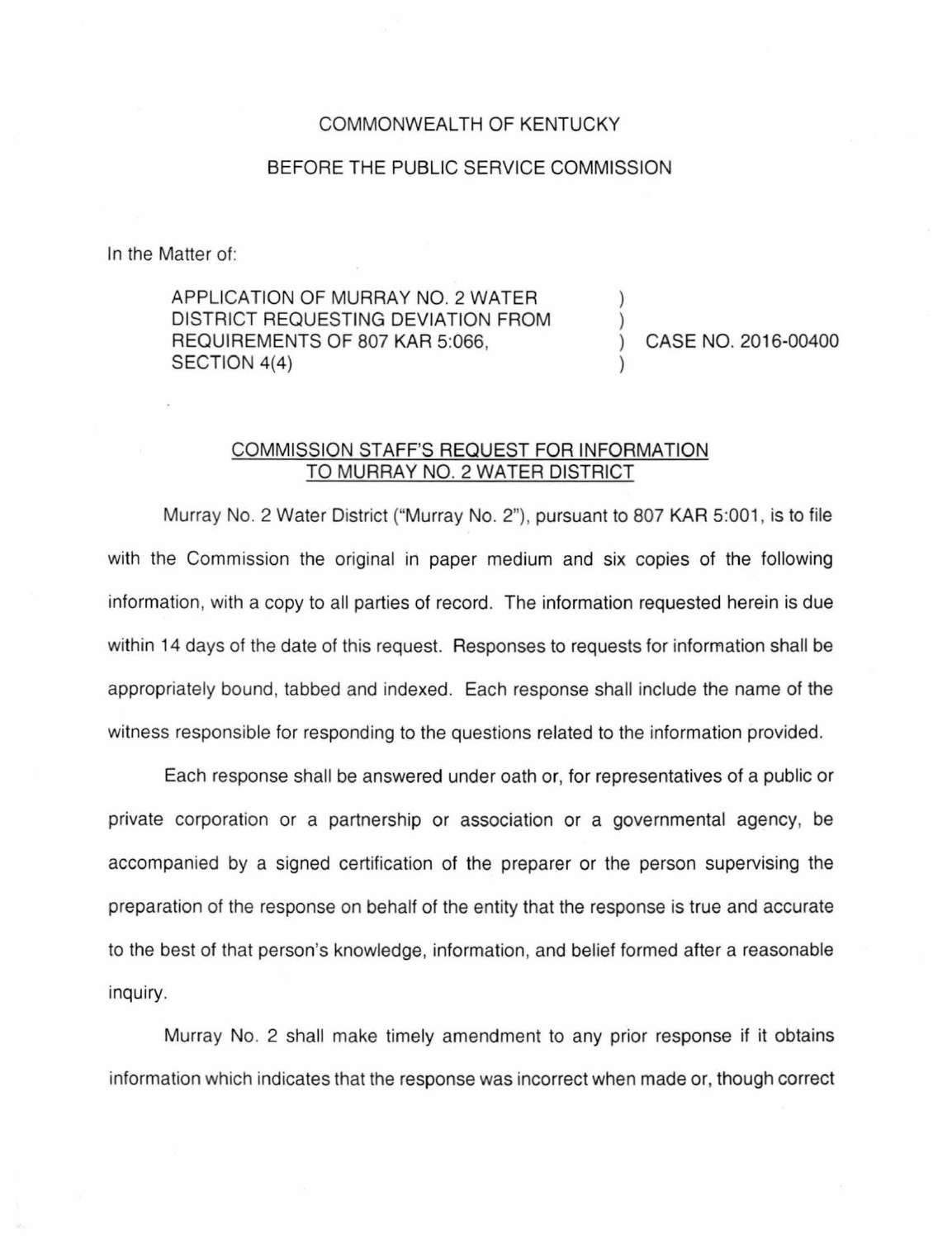## COMMONWEALTH OF KENTUCKY

## BEFORE THE PUBLIC SERVICE COMMISSION

In the Matter of:

APPLICATION OF MURRAY NO. 2 WATER DISTRICT REQUESTING DEVIATION FROM REQUIREMENTS OF 807 KAR 5:066, SECTION 4(4)

) CASE NO. 2016-00400

) )

)

## COMMISSION STAFF'S REQUEST FOR INFORMATION TO MURRAY NO. 2 WATER DISTRICT

Murray No. 2 Water District ("Murray No. 2"), pursuant to 807 KAR 5:001, is to file with the Commission the original in paper medium and six copies of the following information, with a copy to all parties of record. The information requested herein is due within 14 days of the date of this request. Responses to requests for information shall be appropriately bound, tabbed and indexed. Each response shall include the name of the witness responsible for responding to the questions related to the information provided.

Each response shall be answered under oath or, for representatives of a public or private corporation or a partnership or association or a governmental agency, be accompanied by a signed certification of the preparer or the person supervising the preparation of the response on behalf of the entity that the response is true and accurate to the best of that person's knowledge, information, and belief formed after a reasonable inquiry.

Murray No. 2 shall make timely amendment to any prior response if it obtains information which indicates that the response was incorrect when made or, though correct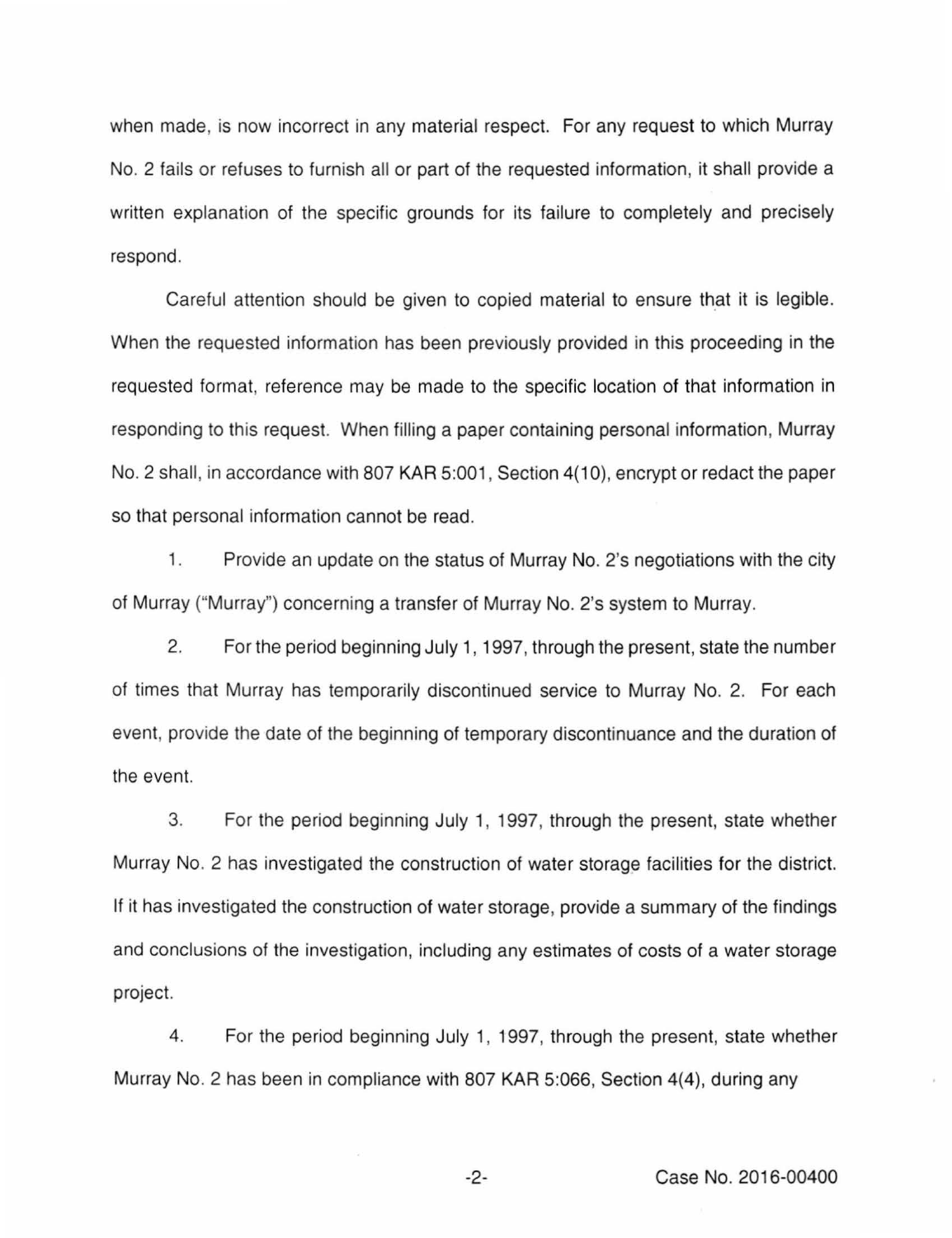when made, is now incorrect in any material respect. For any request to which Murray No. 2 fails or refuses to furnish all or part of the requested information, it shall provide a written explanation of the specific grounds for its failure to completely and precisely respond.

Careful attention should be given to copied material to ensure that it is legible. When the requested information has been previously provided in this proceeding in the requested format, reference may be made to the specific location of that information in responding to this request. When filling a paper containing personal information, Murray No. 2 shall, in accordance with 807 KAR 5:001, Section 4(10), encrypt or redact the paper so that personal information cannot be read.

1. Provide an update on the status of Murray No. 2's negotiations with the city of Murray ("Murray") concerning a transfer of Murray No. 2's system to Murray.

2. For the period beginning July 1, 1997, through the present, state the number of times that Murray has temporarily discontinued service to Murray No. 2. For each event, provide the date of the beginning of temporary discontinuance and the duration of the event.

3. For the period beginning July 1, 1997, through the present, state whether Murray No. 2 has investigated the construction of water storage facilities for the district. If it has investigated the construction of water storage, provide a summary of the findings and conclusions of the investigation, including any estimates of costs of a water storage project.

4. For the period beginning July 1, 1997, through the present, state whether Murray No. 2 has been in compliance with 807 KAR 5:066, Section 4(4), during any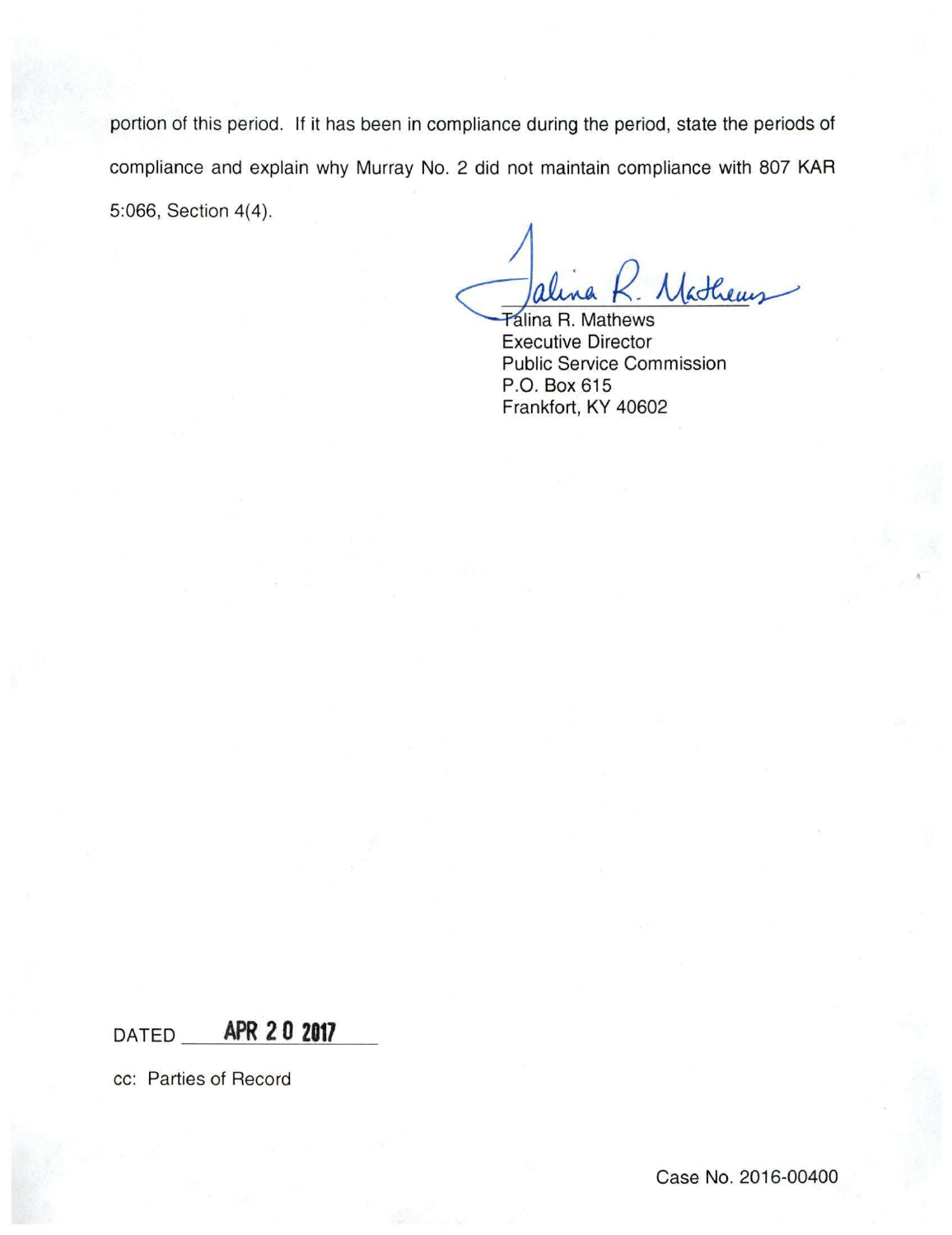portion of this period. If it has been in compliance during the period, state the periods of compliance and explain why Murray No. 2 did not maintain compliance with 807 KAR 5:066, Section 4(4).

Mathems

**Talina R. Mathews** Executive Director Public Service Commission P.O. Box 615 Frankfort, KY 40602

 $DATED$  **APR 2 0 2017** 

cc: Parties of Record

Case No. 2016-00400